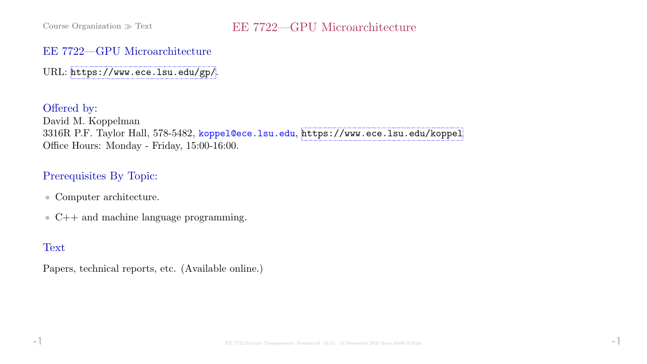#### EE 7722—GPU Microarchitecture

URL: <https://www.ece.lsu.edu/gp/>.

Offered by: David M. Koppelman 3316R P.F. Taylor Hall, 578-5482, koppel@ece.lsu.edu, <https://www.ece.lsu.edu/koppel> Office Hours: Monday - Friday, 15:00-16:00.

### Prerequisites By Topic:

- Computer architecture.
- C++ and machine language programming.

# **Text**

Papers, technical reports, etc. (Available online.)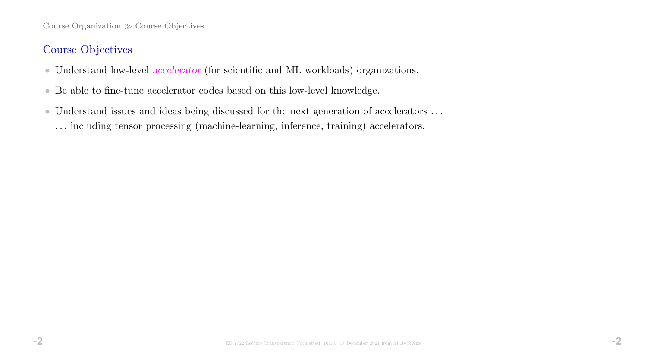Course Organization  $\gg$  Course Objectives

### Course Objectives

- Understand low-level accelerator (for scientific and ML workloads) organizations.
- Be able to fine-tune accelerator codes based on this low-level knowledge.
- $\bullet$  Understand issues and ideas being discussed for the next generation of accelerators  $\ldots$ . . . including tensor processing (machine-learning, inference, training) accelerators.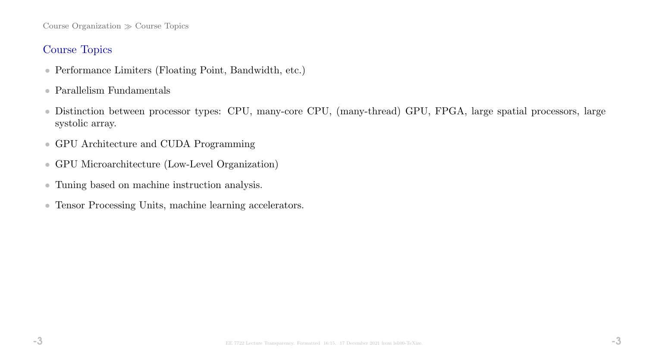Course Organization  $\gg$  Course Topics

### Course Topics

- Performance Limiters (Floating Point, Bandwidth, etc.)
- Parallelism Fundamentals
- Distinction between processor types: CPU, many-core CPU, (many-thread) GPU, FPGA, large spatial processors, large systolic array.
- GPU Architecture and CUDA Programming
- GPU Microarchitecture (Low-Level Organization)
- Tuning based on machine instruction analysis.
- Tensor Processing Units, machine learning accelerators.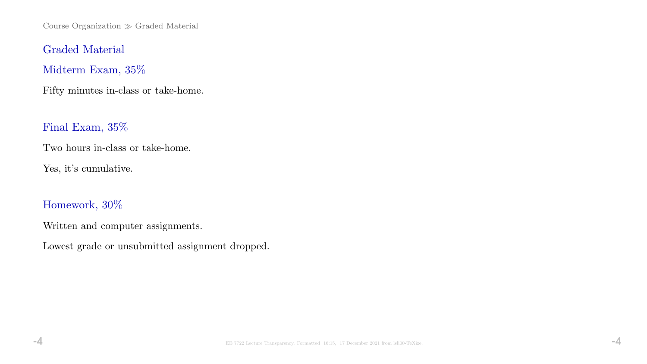Course Organization  $\gg$  Graded Material

Graded Material

Midterm Exam, 35%

Fifty minutes in-class or take-home.

Final Exam, 35%

Two hours in-class or take-home.

Yes, it's cumulative.

Homework, 30%

Written and computer assignments.

Lowest grade or unsubmitted assignment dropped.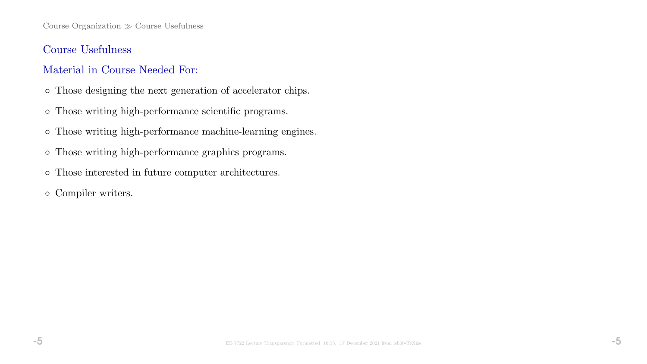Course Organization  $\gg$  Course Usefulness

### Course Usefulness

### Material in Course Needed For:

- Those designing the next generation of accelerator chips.
- Those writing high-performance scientific programs.
- Those writing high-performance machine-learning engines.
- Those writing high-performance graphics programs.
- Those interested in future computer architectures.
- Compiler writers.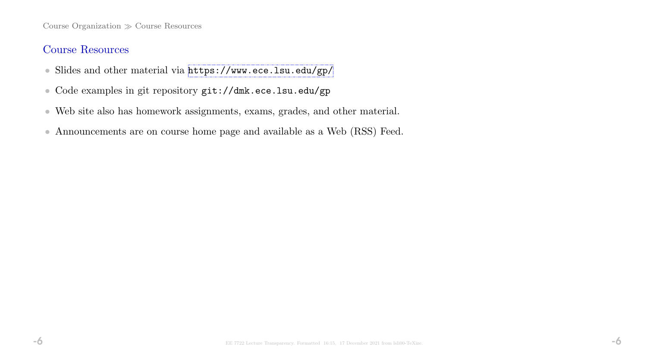Course Organization  $\gg$  Course Resources

### Course Resources

- Slides and other material via <https://www.ece.lsu.edu/gp/>
- Code examples in git repository git://dmk.ece.lsu.edu/gp
- Web site also has homework assignments, exams, grades, and other material.
- Announcements are on course home page and available as a Web (RSS) Feed.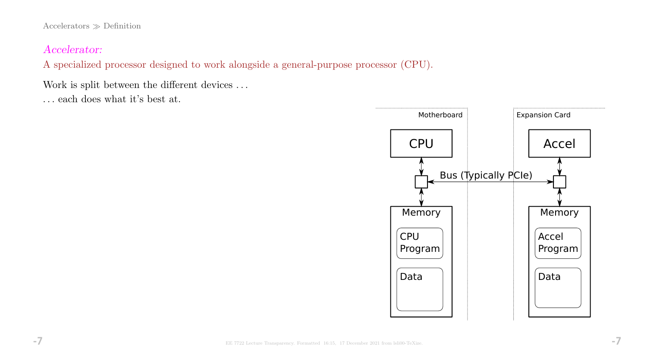${\rm Accelerators} \gg {\rm Definition}$ 

### Accelerator:

A specialized processor designed to work alongside a general-purpose processor (CPU).

Work is split between the different devices . . .

. . . each does what it's best at.

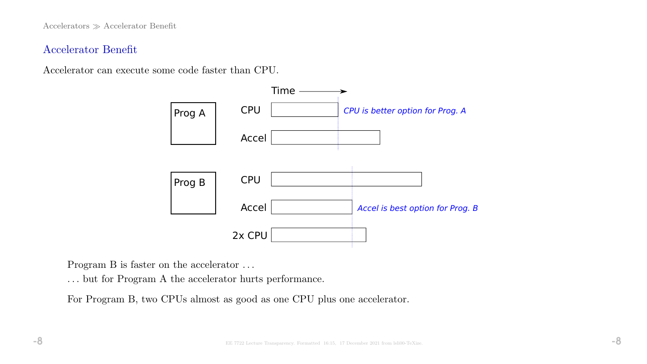Accelerators Accelerator Benefit

#### Accelerator Benefit

Accelerator can execute some code faster than CPU.



Program B is faster on the accelerator . . .

. . . but for Program A the accelerator hurts performance.

For Program B, two CPUs almost as good as one CPU plus one accelerator.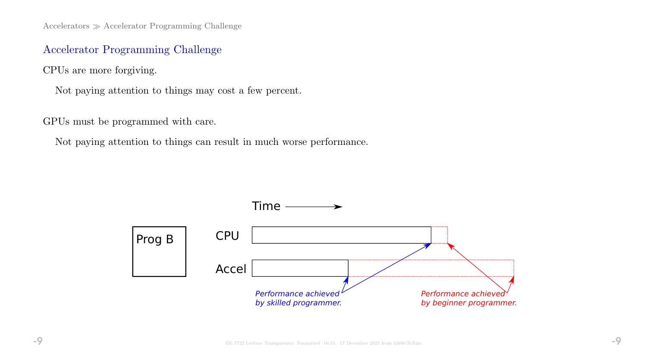$Accepterators \gg Accelerator Programming Challenge$ 

### Accelerator Programming Challenge

CPUs are more forgiving.

Not paying attention to things may cost a few percent.

GPUs must be programmed with care.

Not paying attention to things can result in much worse performance.

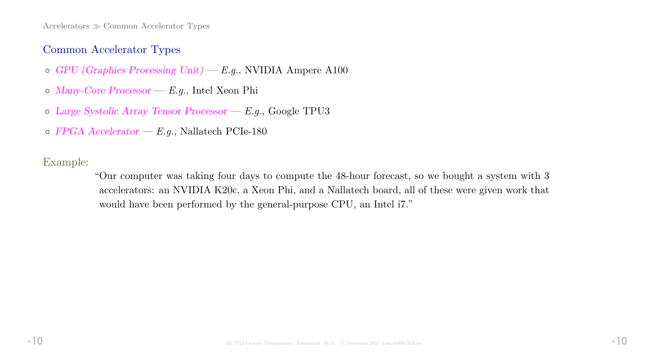$Accepterators \gg Common Accelerator Types$ 

#### Common Accelerator Types

- $\circ$  GPU (Graphics Processing Unit) E.g., NVIDIA Ampere A100
- Many-Core Processor E.g., Intel Xeon Phi
- Large Systolic Array Tensor Processor E.g., Google TPU3
- $\circ$  FPGA Accelerator E.g., Nallatech PCIe-180

Example:

"Our computer was taking four days to compute the 48-hour forecast, so we bought a system with 3 accelerators: an NVIDIA K20c, a Xeon Phi, and a Nallatech board, all of these were given work that would have been performed by the general-purpose CPU, an Intel i7."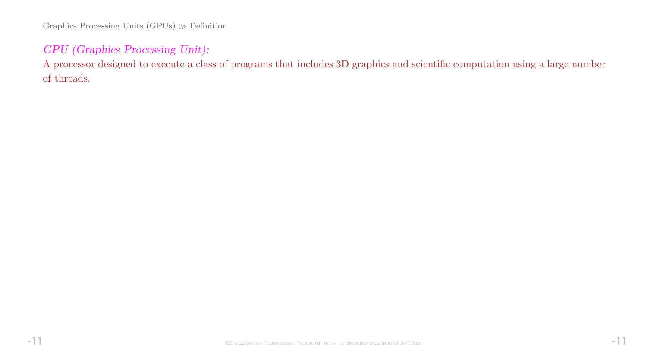Graphics Processing Units  $(GPUs) \gg Definition$ 

## GPU (Graphics Processing Unit):

A processor designed to execute a class of programs that includes 3D graphics and scientific computation using a large number of threads.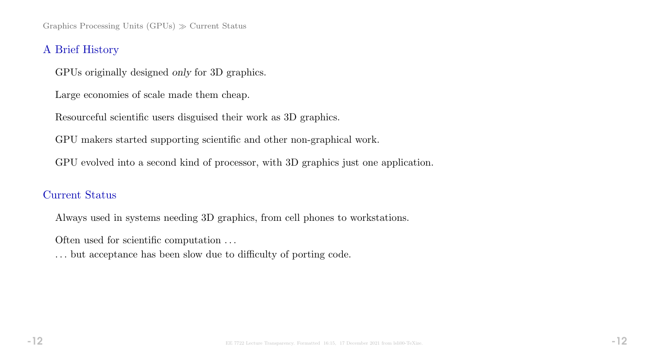Graphics Processing Units  $(GPUs) \gg$  Current Status

#### A Brief History

GPUs originally designed only for 3D graphics.

Large economies of scale made them cheap.

Resourceful scientific users disguised their work as 3D graphics.

GPU makers started supporting scientific and other non-graphical work.

GPU evolved into a second kind of processor, with 3D graphics just one application.

### Current Status

Always used in systems needing 3D graphics, from cell phones to workstations.

Often used for scientific computation . . .

. . . but acceptance has been slow due to difficulty of porting code.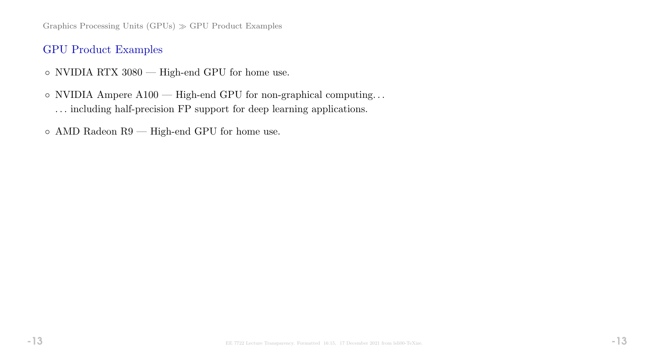Graphics Processing Units  $(GPUs) \gg GPU$  Product Examples

### GPU Product Examples

- NVIDIA RTX 3080 High-end GPU for home use.
- NVIDIA Ampere A100 High-end GPU for non-graphical computing. . . . . . including half-precision FP support for deep learning applications.
- $\circ$  AMD Radeon R9 High-end GPU for home use.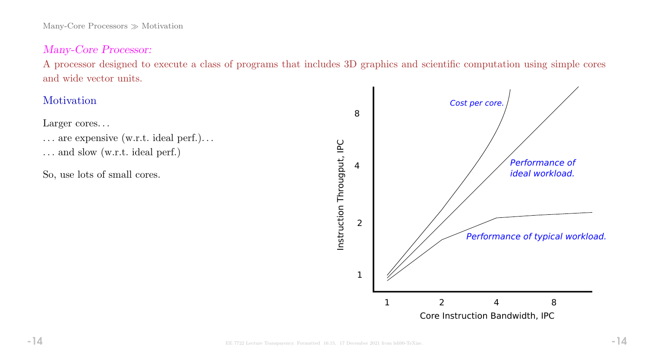Many-Core Processors  $\gg$  Motivation

#### Many-Core Processor:

A processor designed to execute a class of programs that includes 3D graphics and scientific computation using simple cores and wide vector units.

## Motivation

Larger cores...

- ... are expensive (w.r.t. ideal perf.)...
- . . . and slow (w.r.t. ideal perf.)
- So, use lots of small cores.

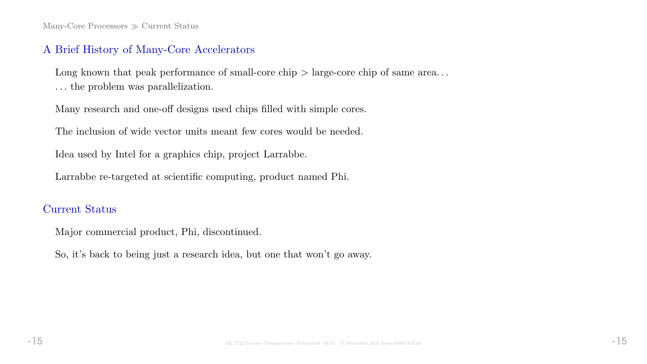Many-Core Processors  $\gg$  Current Status

#### A Brief History of Many-Core Accelerators

Long known that peak performance of small-core chip  $>$  large-core chip of same area... . . . the problem was parallelization.

Many research and one-off designs used chips filled with simple cores.

The inclusion of wide vector units meant few cores would be needed.

Idea used by Intel for a graphics chip, project Larrabbe.

Larrabbe re-targeted at scientific computing, product named Phi.

### Current Status

Major commercial product, Phi, discontinued.

So, it's back to being just a research idea, but one that won't go away.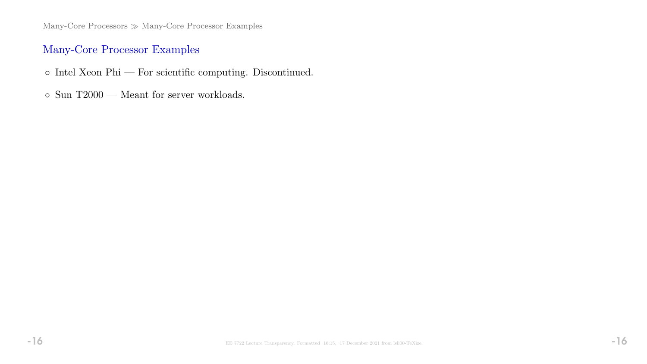Many-Core Processors  $\gg$  Many-Core Processor Examples

### Many-Core Processor Examples

- $\circ$ Intel Xeon Phi For scientific computing. Discontinued.
- $\circ$  Sun T2000 Meant for server workloads.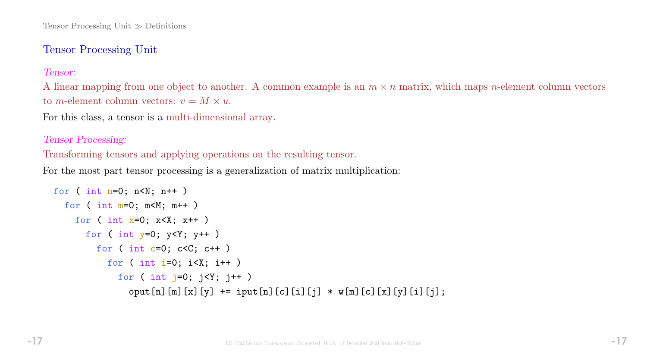### Tensor Processing Unit

#### Tensor:

A linear mapping from one object to another. A common example is an  $m \times n$  matrix, which maps *n*-element column vectors to *m*-element column vectors:  $v = M \times u$ .

For this class, a tensor is a multi-dimensional array.

#### Tensor Processing:

Transforming tensors and applying operations on the resulting tensor.

For the most part tensor processing is a generalization of matrix multiplication:

```
for ( int n=0; n< N; n++ )
for ( int_{m=0}; m< M; m++ )
  for ( int x=0; x\leq X; x++ )
    for ( int y=0; y<Y; y++ )
      for ( int c=0; c < C; c++ )
        for ( int i=0; i<X; i++ )
          for ( int j=0; j<Y; j++ )
            oput[n][m][x][y] += iput[n][c][i][j] * w[m][c][x][y][i][j];
```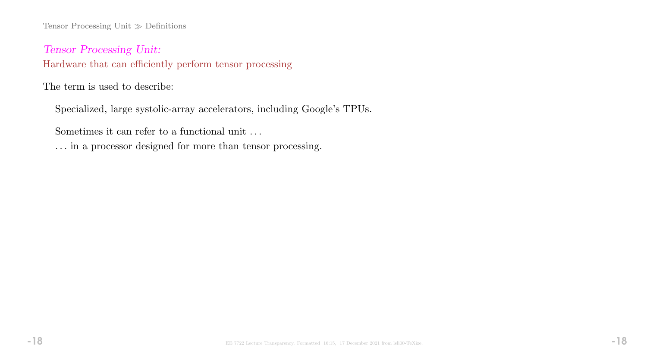Tensor Processing Unit  $\gg$  Definitions

Tensor Processing Unit: Hardware that can efficiently perform tensor processing

The term is used to describe:

Specialized, large systolic-array accelerators, including Google's TPUs.

Sometimes it can refer to a functional unit . . .

. . . in a processor designed for more than tensor processing.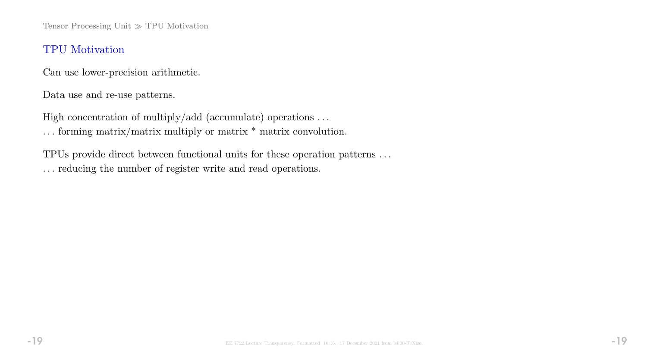Tensor Processing Unit  $\gg$  TPU Motivation

#### TPU Motivation

Can use lower-precision arithmetic.

Data use and re-use patterns.

High concentration of multiply/add (accumulate) operations ...

. . . forming matrix/matrix multiply or matrix \* matrix convolution.

TPUs provide direct between functional units for these operation patterns . . . . . . reducing the number of register write and read operations.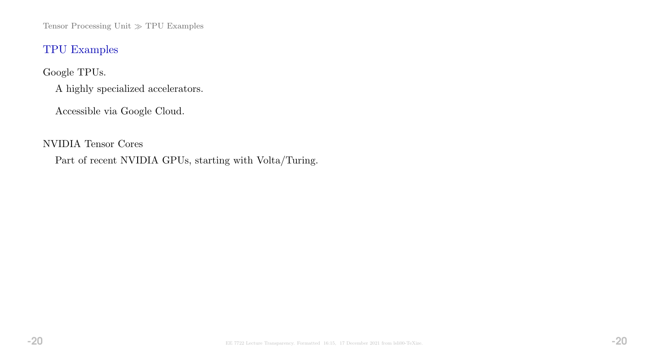Tensor Processing Unit $\gg$  TPU Examples

### TPU Examples

Google TPUs.

A highly specialized accelerators.

Accessible via Google Cloud.

NVIDIA Tensor Cores

Part of recent NVIDIA GPUs, starting with Volta/Turing.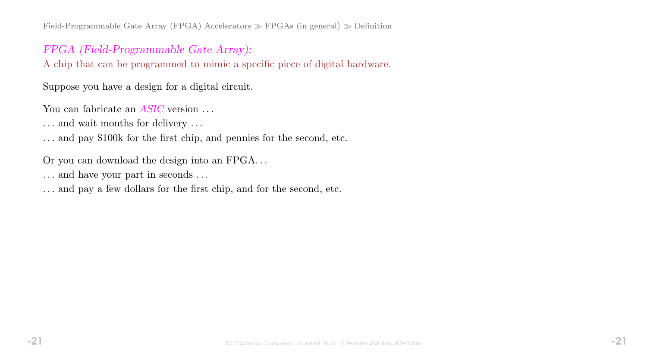Field-Programmable Gate Array (FPGA) Accelerators  $\gg$  FPGAs (in general)  $\gg$  Definition

### FPGA (Field-Programmable Gate Array):

A chip that can be programmed to mimic a specific piece of digital hardware.

Suppose you have a design for a digital circuit.

You can fabricate an *ASIC* version ...

. . . and wait months for delivery . . .

. . . and pay \$100k for the first chip, and pennies for the second, etc.

Or you can download the design into an FPGA. . .

. . . and have your part in seconds . . .

. . . and pay a few dollars for the first chip, and for the second, etc.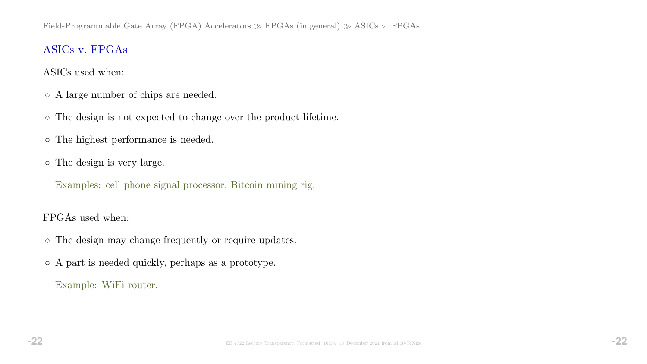# ASICs v. FPGAs

ASICs used when:

- A large number of chips are needed.
- The design is not expected to change over the product lifetime.
- The highest performance is needed.
- The design is very large.

Examples: cell phone signal processor, Bitcoin mining rig.

### FPGAs used when:

- The design may change frequently or require updates.
- A part is needed quickly, perhaps as a prototype.

Example: WiFi router.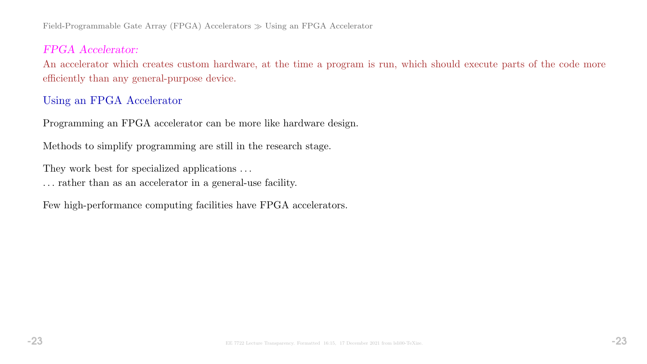Field-Programmable Gate Array (FPGA) Accelerators  $\gg$  Using an FPGA Accelerator

#### FPGA Accelerator:

An accelerator which creates custom hardware, at the time a program is run, which should execute parts of the code more efficiently than any general-purpose device.

#### Using an FPGA Accelerator

Programming an FPGA accelerator can be more like hardware design.

Methods to simplify programming are still in the research stage.

They work best for specialized applications . . .

. . . rather than as an accelerator in a general-use facility.

Few high-performance computing facilities have FPGA accelerators.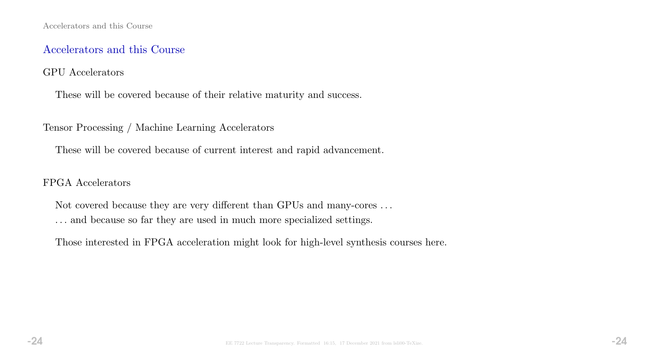## Accelerators and this Course

#### GPU Accelerators

These will be covered because of their relative maturity and success.

Tensor Processing / Machine Learning Accelerators

These will be covered because of current interest and rapid advancement.

### FPGA Accelerators

Not covered because they are very different than GPUs and many-cores . . . . . . and because so far they are used in much more specialized settings.

Those interested in FPGA acceleration might look for high-level synthesis courses here.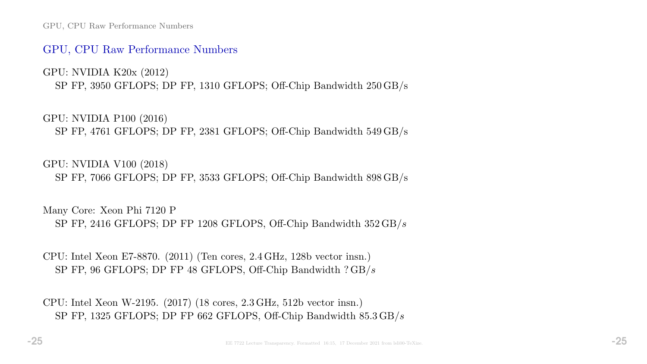GPU, CPU Raw Performance Numbers

#### GPU, CPU Raw Performance Numbers

GPU: NVIDIA K20x (2012) SP FP, 3950 GFLOPS; DP FP, 1310 GFLOPS; Off-Chip Bandwidth 250 GB/s

GPU: NVIDIA P100 (2016) SP FP, 4761 GFLOPS; DP FP, 2381 GFLOPS; Off-Chip Bandwidth 549 GB/s

GPU: NVIDIA V100 (2018)

SP FP, 7066 GFLOPS; DP FP, 3533 GFLOPS; Off-Chip Bandwidth 898 GB/s

Many Core: Xeon Phi 7120 P SP FP, 2416 GFLOPS; DP FP 1208 GFLOPS, Off-Chip Bandwidth 352 GB/s

CPU: Intel Xeon E7-8870. (2011) (Ten cores, 2.4 GHz, 128b vector insn.) SP FP, 96 GFLOPS; DP FP 48 GFLOPS, Off-Chip Bandwidth ? GB/s

CPU: Intel Xeon W-2195. (2017) (18 cores, 2.3 GHz, 512b vector insn.) SP FP, 1325 GFLOPS; DP FP 662 GFLOPS, Off-Chip Bandwidth 85.3 GB/s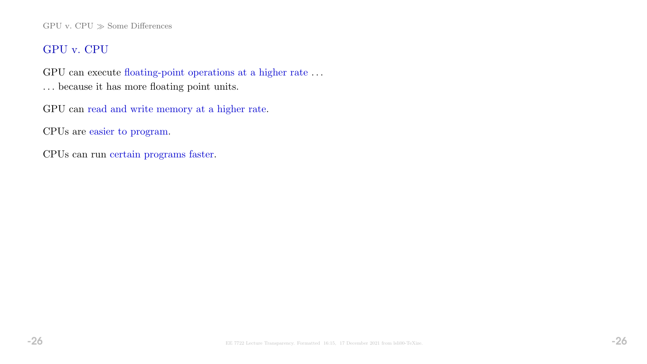#### GPU v. CPU  $\gg$  Some Differences

## GPU v. CPU

GPU can execute floating-point operations at a higher rate . . .

. . . because it has more floating point units.

GPU can read and write memory at a higher rate.

CPUs are easier to program.

CPUs can run certain programs faster.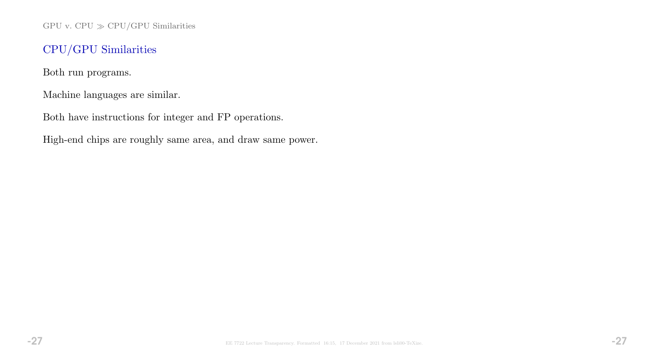GPU v. CPU  $\gg$  CPU/GPU Similarities

# CPU/GPU Similarities

Both run programs.

Machine languages are similar.

Both have instructions for integer and FP operations.

High-end chips are roughly same area, and draw same power.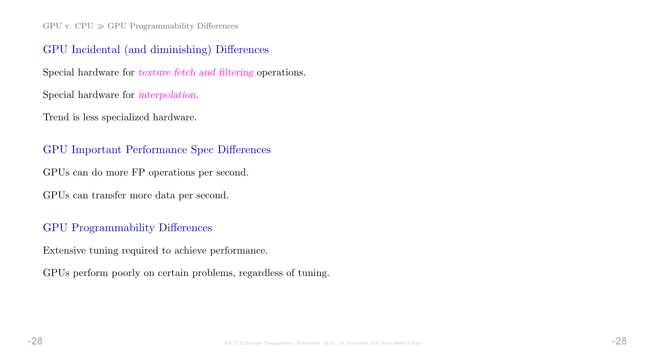$GPU$  v.  $CPU \gg GPU$  Programmability Differences

#### GPU Incidental (and diminishing) Differences

Special hardware for texture fetch and filtering operations.

Special hardware for interpolation.

Trend is less specialized hardware.

#### GPU Important Performance Spec Differences

GPUs can do more FP operations per second.

GPUs can transfer more data per second.

### GPU Programmability Differences

Extensive tuning required to achieve performance.

GPUs perform poorly on certain problems, regardless of tuning.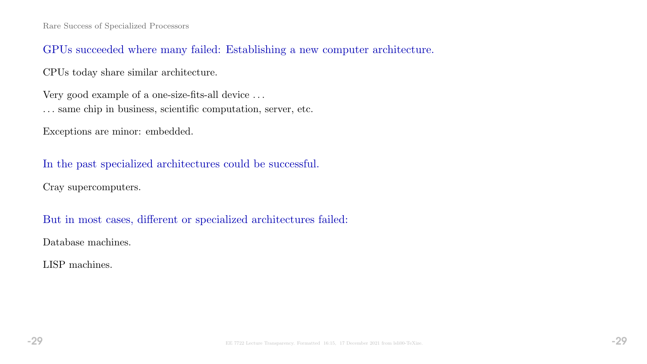### GPUs succeeded where many failed: Establishing a new computer architecture.

CPUs today share similar architecture.

Very good example of a one-size-fits-all device . . . . . . same chip in business, scientific computation, server, etc.

Exceptions are minor: embedded.

In the past specialized architectures could be successful.

Cray supercomputers.

But in most cases, different or specialized architectures failed:

Database machines.

LISP machines.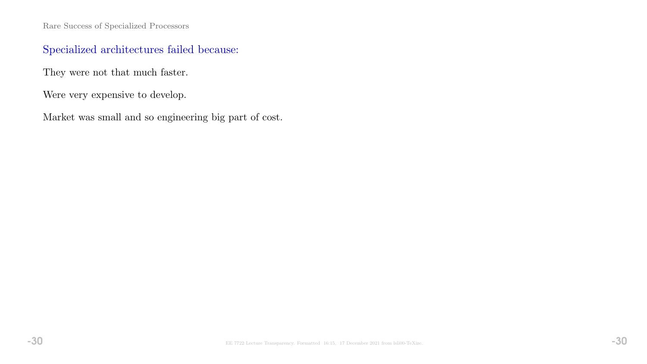Rare Success of Specialized Processors

# Specialized architectures failed because:

They were not that much faster.

Were very expensive to develop.

Market was small and so engineering big part of cost.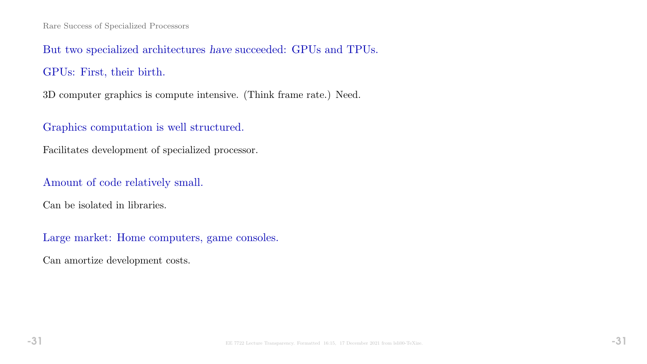But two specialized architectures have succeeded: GPUs and TPUs. GPUs: First, their birth.

3D computer graphics is compute intensive. (Think frame rate.) Need.

# Graphics computation is well structured.

Facilitates development of specialized processor.

Amount of code relatively small.

Can be isolated in libraries.

Large market: Home computers, game consoles.

Can amortize development costs.